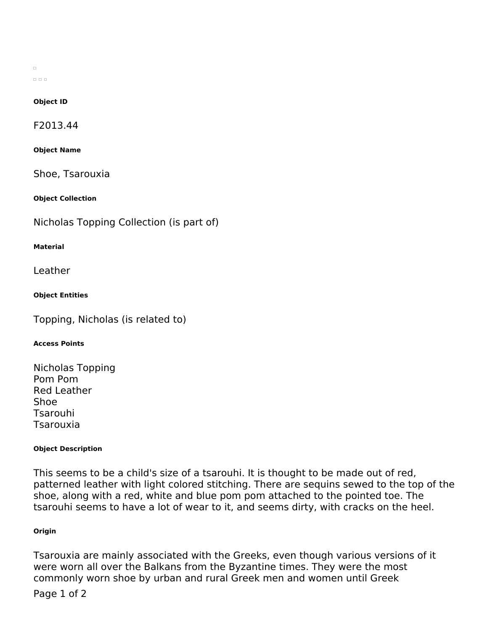$\Box$  $\Box \Box \Box$ 

## **Object ID**

F2013.44

**Object Name**

Shoe, Tsarouxia

**Object Collection**

Nicholas Topping Collection (is part of)

**Material**

Leather

**Object Entities**

Topping, Nicholas (is related to)

## **Access Points**

Nicholas Topping Pom Pom Red Leather Shoe Tsarouhi Tsarouxia

## **Object Description**

This seems to be a child's size of a tsarouhi. It is thought to be made out of red, patterned leather with light colored stitching. There are sequins sewed to the top of the shoe, along with a red, white and blue pom pom attached to the pointed toe. The tsarouhi seems to have a lot of wear to it, and seems dirty, with cracks on the heel.

## **Origin**

Tsarouxia are mainly associated with the Greeks, even though various versions of it were worn all over the Balkans from the Byzantine times. They were the most commonly worn shoe by urban and rural Greek men and women until Greek

# Page 1 of 2